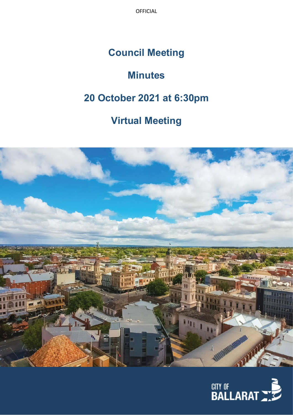OFFICIAL

## **Council Meeting**

# **Minutes**

# **20 October 2021 at 6:30pm**

## **Virtual Meeting**



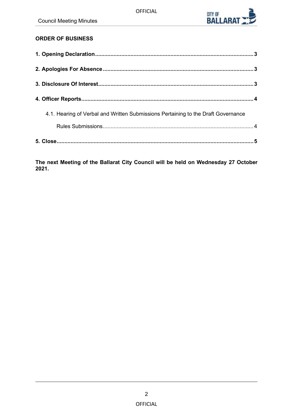

### **ORDER OF BUSINESS**

| 4.1. Hearing of Verbal and Written Submissions Pertaining to the Draft Governance |  |
|-----------------------------------------------------------------------------------|--|
|                                                                                   |  |
|                                                                                   |  |

**The next Meeting of the Ballarat City Council will be held on Wednesday 27 October 2021.**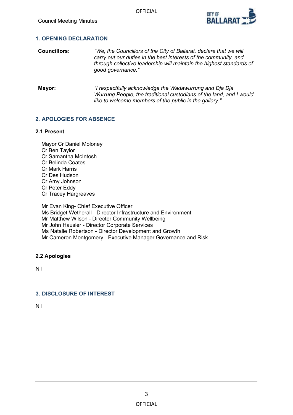

#### <span id="page-2-0"></span>**1. OPENING DECLARATION**

- **Councillors:** *"We, the Councillors of the City of Ballarat, declare that we will carry out our duties in the best interests of the community, and through collective leadership will maintain the highest standards of good governance."*
- **Mayor:** *"I respectfully acknowledge the Wadawurrung and Dja Dja Wurrung People, the traditional custodians of the land, and I would like to welcome members of the public in the gallery."*

#### **2. APOLOGIES FOR ABSENCE**

#### **2.1 Present**

Mayor Cr Daniel Moloney Cr Ben Taylor Cr Samantha McIntosh Cr Belinda Coates Cr Mark Harris Cr Des Hudson Cr Amy Johnson Cr Peter Eddy Cr Tracey Hargreaves Mr Evan King- Chief Executive Officer

Ms Bridget Wetherall - Director Infrastructure and Environment Mr Matthew Wilson - Director Community Wellbeing Mr John Hausler - Director Corporate Services Ms Natalie Robertson - Director Development and Growth Mr Cameron Montgomery - Executive Manager Governance and Risk

#### **2.2 Apologies**

Nil

#### **3. DISCLOSURE OF INTEREST**

Nil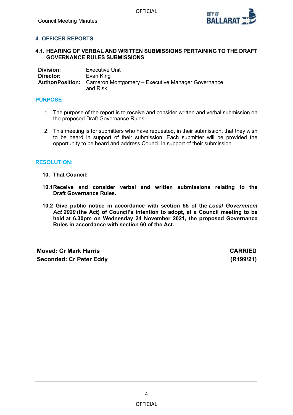

## <span id="page-3-0"></span>**4. OFFICER REPORTS**

#### **4.1. HEARING OF VERBAL AND WRITTEN SUBMISSIONS PERTAINING TO THE DRAFT GOVERNANCE RULES SUBMISSIONS**

| Division: | Executive Unit                                                                        |
|-----------|---------------------------------------------------------------------------------------|
| Director: | Evan King                                                                             |
|           | <b>Author/Position:</b> Cameron Montgomery – Executive Manager Governance<br>and Risk |

#### **PURPOSE**

- 1. The purpose of the report is to receive and consider written and verbal submission on the proposed Draft Governance Rules.
- 2. This meeting is for submitters who have requested, in their submission, that they wish to be heard in support of their submission. Each submitter will be provided the opportunity to be heard and address Council in support of their submission.

#### **RESOLUTION:**

- **10. That Council:**
- **10.1Receive and consider verbal and written submissions relating to the Draft Governance Rules.**
- **10.2 Give public notice in accordance with section 55 of the** *Local Government Act 2020* **(the Act) of Council's intention to adopt, at a Council meeting to be held at 6.30pm on Wednesday 24 November 2021, the proposed Governance Rules in accordance with section 60 of the Act.**

**Moved: Cr Mark Harris CARRIED Seconded: Cr Peter Eddy (R199/21)**